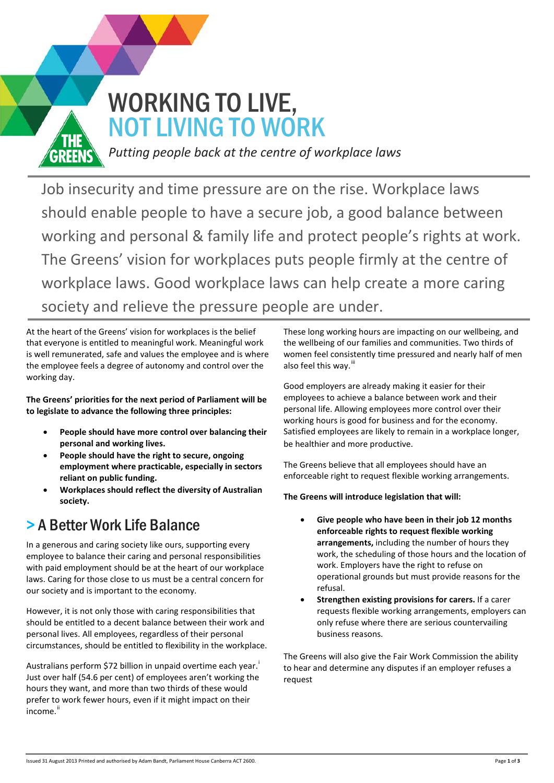

### *Putting people back at the centre of workplace laws*

Job insecurity and time pressure are on the rise. Workplace laws should enable people to have a secure job, a good balance between working and personal & family life and protect people's rights at work. The Greens' vision for workplaces puts people firmly at the centre of workplace laws. Good workplace laws can help create a more caring society and relieve the pressure people are under.

At the heart of the Greens' vision for workplaces is the belief that everyone is entitled to meaningful work. Meaningful work is well remunerated, safe and values the employee and is where the employee feels a degree of autonomy and control over the working day.

**The Greens' priorities for the next period of Parliament will be to legislate to advance the following three principles:** 

- **People should have more control over balancing their personal and working lives.**
- **People should have the right to secure, ongoing employment where practicable, especially in sectors reliant on public funding.**
- **Workplaces should reflect the diversity of Australian society.**

## > A Better Work Life Balance

In a generous and caring society like ours, supporting every employee to balance their caring and personal responsibilities with paid employment should be at the heart of our workplace laws. Caring for those close to us must be a central concern for our society and is important to the economy.

However, it is not only those with caring responsibilities that should be entitled to a decent balance between their work and personal lives. All employees, regardless of their personal circumstances, should be entitled to flexibility in the workplace.

Austral[i](#page-2-0)ans perform \$72 billion in unpaid overtime each year.<sup>i</sup> Just over half (54.6 per cent) of employees aren't working the hours they want, and more than two thirds of these would prefer to work fewer hours, even if it might impact on their income.<sup>[ii](#page-2-1)</sup>

These long working hours are impacting on our wellbeing, and the wellbeing of our families and communities. Two thirds of women feel consistently time pressured and nearly half of men also feel this wav.<sup>ii</sup>

Good employers are already making it easier for their employees to achieve a balance between work and their personal life. Allowing employees more control over their working hours is good for business and for the economy. Satisfied employees are likely to remain in a workplace longer, be healthier and more productive.

The Greens believe that all employees should have an enforceable right to request flexible working arrangements.

#### **The Greens will introduce legislation that will:**

- **Give people who have been in their job 12 months enforceable rights to request flexible working arrangements,** including the number of hours they work, the scheduling of those hours and the location of work. Employers have the right to refuse on operational grounds but must provide reasons for the refusal.
- **Strengthen existing provisions for carers.** If a carer requests flexible working arrangements, employers can only refuse where there are serious countervailing business reasons.

The Greens will also give the Fair Work Commission the ability to hear and determine any disputes if an employer refuses a request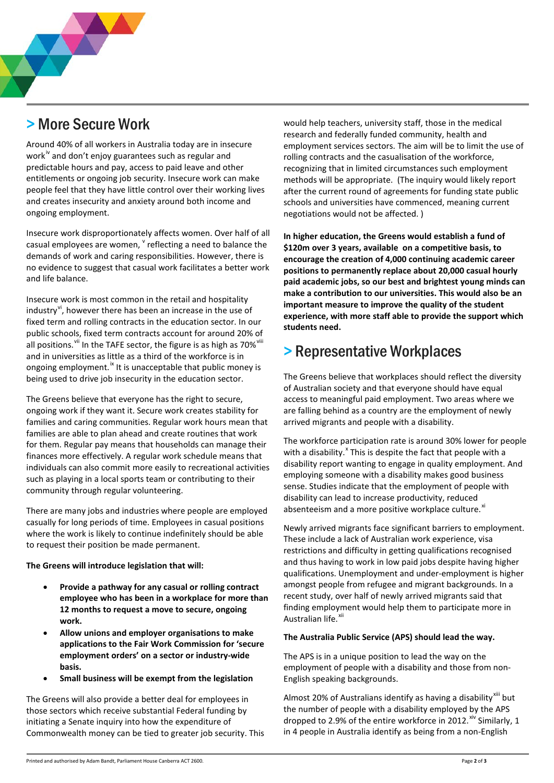## > More Secure Work

Around 40% of all workers in Australia today are in insecure work<sup>"</sup> and don't enjoy guarantees such as regular and predictable hours and pay, access to paid leave and other entitlements or ongoing job security. Insecure work can make people feel that they have little control over their working lives and creates insecurity and anxiety around both income and ongoing employment.

Insecure work disproportionately affects women. Over half of all casual employees are women,  $v$  reflecting a need to balance the demands of work and caring responsibilities. However, there is no evidence to suggest that casual work facilitates a better work and life balance.

Insecure work is most common in the retail and hospitality industry<sup>[vi](#page-2-5)</sup>, however there has been an increase in the use of fixed term and rolling contracts in the education sector. In our public schools, fixed term contracts account for around 20% of all positions. Vil In the TAFE sector, the figure is as high as 70%<sup>Vili</sup> and in universities as little as a third of the workforce is in ongoing employment.<sup>[ix](#page-2-8)</sup> It is unacceptable that public money is being used to drive job insecurity in the education sector.

The Greens believe that everyone has the right to secure, ongoing work if they want it. Secure work creates stability for families and caring communities. Regular work hours mean that families are able to plan ahead and create routines that work for them. Regular pay means that households can manage their finances more effectively. A regular work schedule means that individuals can also commit more easily to recreational activities such as playing in a local sports team or contributing to their community through regular volunteering.

There are many jobs and industries where people are employed casually for long periods of time. Employees in casual positions where the work is likely to continue indefinitely should be able to request their position be made permanent.

#### **The Greens will introduce legislation that will:**

- **Provide a pathway for any casual or rolling contract employee who has been in a workplace for more than 12 months to request a move to secure, ongoing work.**
- **Allow unions and employer organisations to make applications to the Fair Work Commission for 'secure employment orders' on a sector or industry-wide basis.**
- **Small business will be exempt from the legislation**

The Greens will also provide a better deal for employees in those sectors which receive substantial Federal funding by initiating a Senate inquiry into how the expenditure of Commonwealth money can be tied to greater job security. This would help teachers, university staff, those in the medical research and federally funded community, health and employment services sectors. The aim will be to limit the use of rolling contracts and the casualisation of the workforce, recognizing that in limited circumstances such employment methods will be appropriate. (The inquiry would likely report after the current round of agreements for funding state public schools and universities have commenced, meaning current negotiations would not be affected. )

**In higher education, the Greens would establish a fund of \$120m over 3 years, available on a competitive basis, to encourage the creation of 4,000 continuing academic career positions to permanently replace about 20,000 casual hourly paid academic jobs, so our best and brightest young minds can make a contribution to our universities. This would also be an important measure to improve the quality of the student experience, with more staff able to provide the support which students need.**

### > Representative Workplaces

The Greens believe that workplaces should reflect the diversity of Australian society and that everyone should have equal access to meaningful paid employment. Two areas where we are falling behind as a country are the employment of newly arrived migrants and people with a disability.

The workforce participation rate is around 30% lower for people with a disability.<sup>[x](#page-2-9)</sup> This is despite the fact that people with a disability report wanting to engage in quality employment. And employing someone with a disability makes good business sense. Studies indicate that the employment of people with disability can lead to increase productivity, reduced absenteeism and a more positive workplace culture.<sup>[xi](#page-2-10)</sup>

Newly arrived migrants face significant barriers to employment. These include a lack of Australian work experience, visa restrictions and difficulty in getting qualifications recognised and thus having to work in low paid jobs despite having higher qualifications. Unemployment and under-employment is higher amongst people from refugee and migrant backgrounds. In a recent study, over half of newly arrived migrants said that finding employment would help them to participate more in Australian life.<sup>[xii](#page-2-11)</sup>

#### **The Australia Public Service (APS) should lead the way.**

The APS is in a unique position to lead the way on the employment of people with a disability and those from non-English speaking backgrounds.

Almost 20% of Australians identify as having a disability<sup>[xiii](#page-2-12)</sup> but the number of people with a disability employed by the APS dropped to 2.9% of the entire workforce in 2012.<sup>[xiv](#page-2-13)</sup> Similarly, 1 in 4 people in Australia identify as being from a non-English